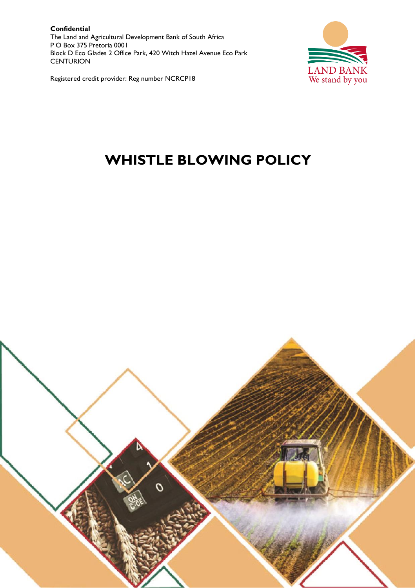**Confidential** The Land and Agricultural Development Bank of South Africa P O Box 375 Pretoria 0001 Block D Eco Glades 2 Office Park, 420 Witch Hazel Avenue Eco Park **CENTURION** 



Registered credit provider: Reg number NCRCP18

# **WHISTLE BLOWING POLICY**

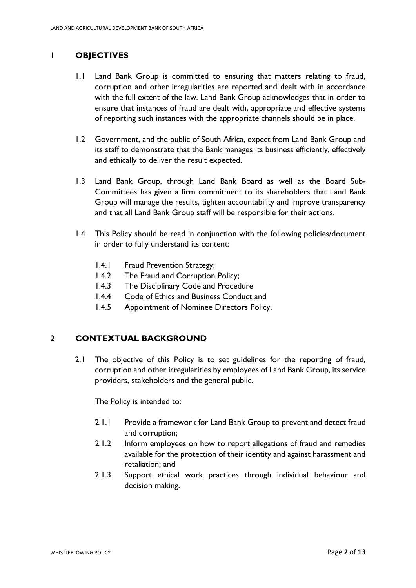# **1 OBJECTIVES**

- 1.1 Land Bank Group is committed to ensuring that matters relating to fraud, corruption and other irregularities are reported and dealt with in accordance with the full extent of the law. Land Bank Group acknowledges that in order to ensure that instances of fraud are dealt with, appropriate and effective systems of reporting such instances with the appropriate channels should be in place.
- 1.2 Government, and the public of South Africa, expect from Land Bank Group and its staff to demonstrate that the Bank manages its business efficiently, effectively and ethically to deliver the result expected.
- 1.3 Land Bank Group, through Land Bank Board as well as the Board Sub-Committees has given a firm commitment to its shareholders that Land Bank Group will manage the results, tighten accountability and improve transparency and that all Land Bank Group staff will be responsible for their actions.
- 1.4 This Policy should be read in conjunction with the following policies/document in order to fully understand its content:
	- 1.4.1 Fraud Prevention Strategy;
	- 1.4.2 The Fraud and Corruption Policy;
	- 1.4.3 The Disciplinary Code and Procedure
	- 1.4.4 Code of Ethics and Business Conduct and
	- 1.4.5 Appointment of Nominee Directors Policy.

## **2 CONTEXTUAL BACKGROUND**

2.1 The objective of this Policy is to set guidelines for the reporting of fraud, corruption and other irregularities by employees of Land Bank Group, its service providers, stakeholders and the general public.

The Policy is intended to:

- 2.1.1 Provide a framework for Land Bank Group to prevent and detect fraud and corruption;
- 2.1.2 Inform employees on how to report allegations of fraud and remedies available for the protection of their identity and against harassment and retaliation; and
- 2.1.3 Support ethical work practices through individual behaviour and decision making.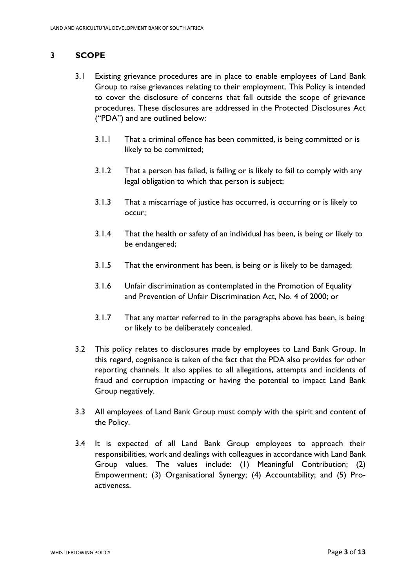# **3 SCOPE**

- 3.1 Existing grievance procedures are in place to enable employees of Land Bank Group to raise grievances relating to their employment. This Policy is intended to cover the disclosure of concerns that fall outside the scope of grievance procedures. These disclosures are addressed in the Protected Disclosures Act ("PDA") and are outlined below:
	- 3.1.1 That a criminal offence has been committed, is being committed or is likely to be committed;
	- 3.1.2 That a person has failed, is failing or is likely to fail to comply with any legal obligation to which that person is subject;
	- 3.1.3 That a miscarriage of justice has occurred, is occurring or is likely to occur;
	- 3.1.4 That the health or safety of an individual has been, is being or likely to be endangered;
	- 3.1.5 That the environment has been, is being or is likely to be damaged;
	- 3.1.6 Unfair discrimination as contemplated in the Promotion of Equality and Prevention of Unfair Discrimination Act, No. 4 of 2000; or
	- 3.1.7 That any matter referred to in the paragraphs above has been, is being or likely to be deliberately concealed.
- 3.2 This policy relates to disclosures made by employees to Land Bank Group. In this regard, cognisance is taken of the fact that the PDA also provides for other reporting channels. It also applies to all allegations, attempts and incidents of fraud and corruption impacting or having the potential to impact Land Bank Group negatively.
- 3.3 All employees of Land Bank Group must comply with the spirit and content of the Policy.
- 3.4 It is expected of all Land Bank Group employees to approach their responsibilities, work and dealings with colleagues in accordance with Land Bank Group values. The values include: (1) Meaningful Contribution; (2) Empowerment; (3) Organisational Synergy; (4) Accountability; and (5) Proactiveness.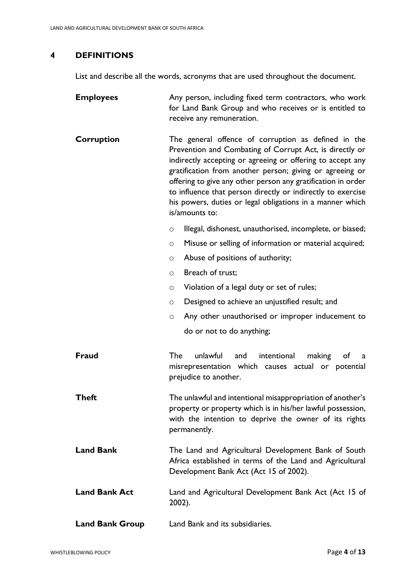## **4 DEFINITIONS**

List and describe all the words, acronyms that are used throughout the document.

| <b>Employees</b>       | Any person, including fixed term contractors, who work<br>for Land Bank Group and who receives or is entitled to<br>receive any remuneration.                                                                                                                                                                                                                                                                                                          |  |  |  |  |  |  |
|------------------------|--------------------------------------------------------------------------------------------------------------------------------------------------------------------------------------------------------------------------------------------------------------------------------------------------------------------------------------------------------------------------------------------------------------------------------------------------------|--|--|--|--|--|--|
| Corruption             | The general offence of corruption as defined in the<br>Prevention and Combating of Corrupt Act, is directly or<br>indirectly accepting or agreeing or offering to accept any<br>gratification from another person; giving or agreeing or<br>offering to give any other person any gratification in order<br>to influence that person directly or indirectly to exercise<br>his powers, duties or legal obligations in a manner which<br>is/amounts to: |  |  |  |  |  |  |
|                        | Illegal, dishonest, unauthorised, incomplete, or biased;<br>$\circ$                                                                                                                                                                                                                                                                                                                                                                                    |  |  |  |  |  |  |
|                        | Misuse or selling of information or material acquired;<br>O                                                                                                                                                                                                                                                                                                                                                                                            |  |  |  |  |  |  |
|                        | Abuse of positions of authority;<br>$\circ$                                                                                                                                                                                                                                                                                                                                                                                                            |  |  |  |  |  |  |
|                        | Breach of trust;<br>$\circ$                                                                                                                                                                                                                                                                                                                                                                                                                            |  |  |  |  |  |  |
|                        | Violation of a legal duty or set of rules;<br>O                                                                                                                                                                                                                                                                                                                                                                                                        |  |  |  |  |  |  |
|                        | Designed to achieve an unjustified result; and<br>O                                                                                                                                                                                                                                                                                                                                                                                                    |  |  |  |  |  |  |
|                        | Any other unauthorised or improper inducement to<br>O                                                                                                                                                                                                                                                                                                                                                                                                  |  |  |  |  |  |  |
|                        | do or not to do anything;                                                                                                                                                                                                                                                                                                                                                                                                                              |  |  |  |  |  |  |
| Fraud                  | <b>The</b><br>unlawful<br>intentional<br>and<br>making<br>of<br>a<br>misrepresentation which causes actual or potential<br>prejudice to another.                                                                                                                                                                                                                                                                                                       |  |  |  |  |  |  |
| <b>Theft</b>           | The unlawful and intentional misappropriation of another's<br>property or property which is in his/her lawful possession,<br>with the intention to deprive the owner of its rights<br>permanently.                                                                                                                                                                                                                                                     |  |  |  |  |  |  |
| <b>Land Bank</b>       | The Land and Agricultural Development Bank of South<br>Africa established in terms of the Land and Agricultural<br>Development Bank Act (Act 15 of 2002).                                                                                                                                                                                                                                                                                              |  |  |  |  |  |  |
| <b>Land Bank Act</b>   | Land and Agricultural Development Bank Act (Act 15 of<br>2002).                                                                                                                                                                                                                                                                                                                                                                                        |  |  |  |  |  |  |
| <b>Land Bank Group</b> | Land Bank and its subsidiaries.                                                                                                                                                                                                                                                                                                                                                                                                                        |  |  |  |  |  |  |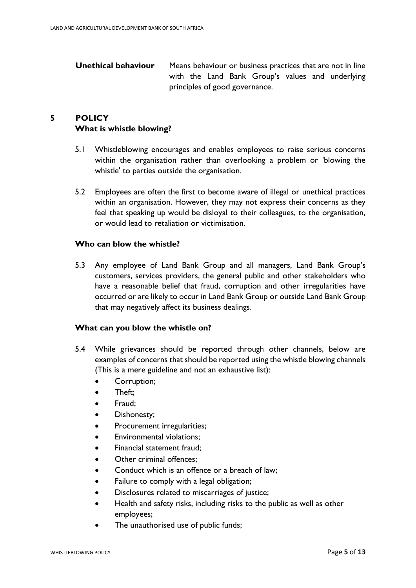| Unethical behaviour | Means behaviour or business practices that are not in line |  |  |  |  |  |  |                                                  |  |  |
|---------------------|------------------------------------------------------------|--|--|--|--|--|--|--------------------------------------------------|--|--|
|                     |                                                            |  |  |  |  |  |  | with the Land Bank Group's values and underlying |  |  |
|                     | principles of good governance.                             |  |  |  |  |  |  |                                                  |  |  |

# **5 POLICY What is whistle blowing?**

- 5.1 Whistleblowing encourages and enables employees to raise serious concerns within the organisation rather than overlooking a problem or 'blowing the whistle' to parties outside the organisation.
- 5.2 Employees are often the first to become aware of illegal or unethical practices within an organisation. However, they may not express their concerns as they feel that speaking up would be disloyal to their colleagues, to the organisation, or would lead to retaliation or victimisation.

## **Who can blow the whistle?**

5.3 Any employee of Land Bank Group and all managers, Land Bank Group's customers, services providers, the general public and other stakeholders who have a reasonable belief that fraud, corruption and other irregularities have occurred or are likely to occur in Land Bank Group or outside Land Bank Group that may negatively affect its business dealings.

#### **What can you blow the whistle on?**

- 5.4 While grievances should be reported through other channels, below are examples of concerns that should be reported using the whistle blowing channels (This is a mere guideline and not an exhaustive list):
	- Corruption;
	- Theft:
	- Fraud;
	- Dishonesty;
	- Procurement irregularities;
	- Environmental violations;
	- Financial statement fraud;
	- Other criminal offences:
	- Conduct which is an offence or a breach of law:
	- Failure to comply with a legal obligation;
	- Disclosures related to miscarriages of justice;
	- Health and safety risks, including risks to the public as well as other employees;
	- The unauthorised use of public funds;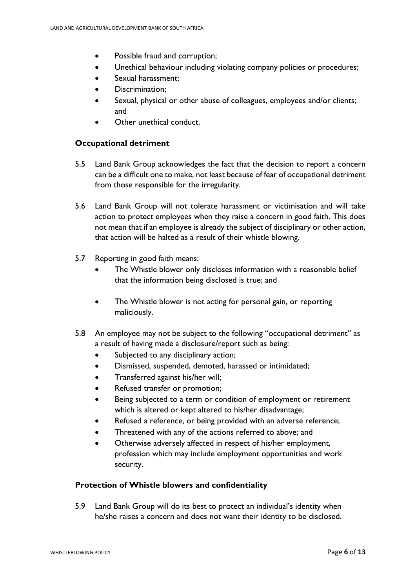- Possible fraud and corruption;
- Unethical behaviour including violating company policies or procedures;
- Sexual harassment:
- Discrimination;
- Sexual, physical or other abuse of colleagues, employees and/or clients; and
- Other unethical conduct.

## **Occupational detriment**

- 5.5 Land Bank Group acknowledges the fact that the decision to report a concern can be a difficult one to make, not least because of fear of occupational detriment from those responsible for the irregularity.
- 5.6 Land Bank Group will not tolerate harassment or victimisation and will take action to protect employees when they raise a concern in good faith. This does not mean that if an employee is already the subject of disciplinary or other action, that action will be halted as a result of their whistle blowing.
- 5.7 Reporting in good faith means:
	- The Whistle blower only discloses information with a reasonable belief that the information being disclosed is true; and
	- The Whistle blower is not acting for personal gain, or reporting maliciously.
- 5.8 An employee may not be subject to the following "occupational detriment" as a result of having made a disclosure/report such as being:
	- Subjected to any disciplinary action;
	- Dismissed, suspended, demoted, harassed or intimidated;
	- Transferred against his/her will;
	- Refused transfer or promotion;
	- Being subjected to a term or condition of employment or retirement which is altered or kept altered to his/her disadvantage;
	- Refused a reference, or being provided with an adverse reference;
	- Threatened with any of the actions referred to above; and
	- Otherwise adversely affected in respect of his/her employment, profession which may include employment opportunities and work security.

## **Protection of Whistle blowers and confidentiality**

5.9 Land Bank Group will do its best to protect an individual's identity when he/she raises a concern and does not want their identity to be disclosed.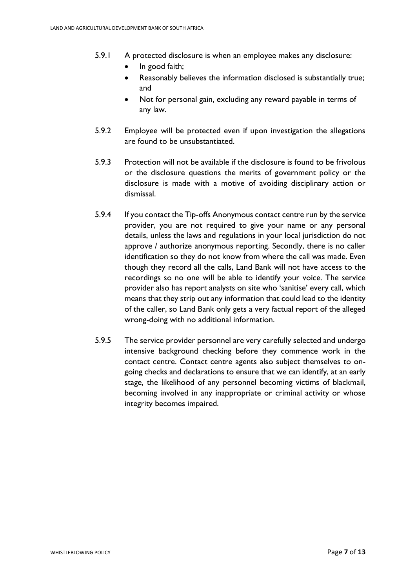- 5.9.1 A protected disclosure is when an employee makes any disclosure:
	- In good faith;
	- Reasonably believes the information disclosed is substantially true; and
	- Not for personal gain, excluding any reward payable in terms of any law.
- 5.9.2 Employee will be protected even if upon investigation the allegations are found to be unsubstantiated.
- 5.9.3 Protection will not be available if the disclosure is found to be frivolous or the disclosure questions the merits of government policy or the disclosure is made with a motive of avoiding disciplinary action or dismissal.
- 5.9.4 If you contact the Tip-offs Anonymous contact centre run by the service provider, you are not required to give your name or any personal details, unless the laws and regulations in your local jurisdiction do not approve / authorize anonymous reporting. Secondly, there is no caller identification so they do not know from where the call was made. Even though they record all the calls, Land Bank will not have access to the recordings so no one will be able to identify your voice. The service provider also has report analysts on site who 'sanitise' every call, which means that they strip out any information that could lead to the identity of the caller, so Land Bank only gets a very factual report of the alleged wrong-doing with no additional information.
- 5.9.5 The service provider personnel are very carefully selected and undergo intensive background checking before they commence work in the contact centre. Contact centre agents also subject themselves to ongoing checks and declarations to ensure that we can identify, at an early stage, the likelihood of any personnel becoming victims of blackmail, becoming involved in any inappropriate or criminal activity or whose integrity becomes impaired.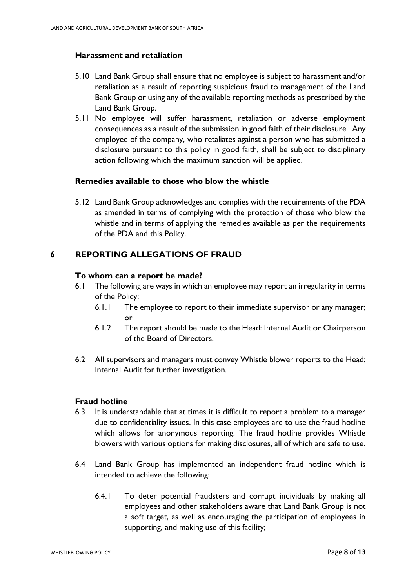## **Harassment and retaliation**

- 5.10 Land Bank Group shall ensure that no employee is subject to harassment and/or retaliation as a result of reporting suspicious fraud to management of the Land Bank Group or using any of the available reporting methods as prescribed by the Land Bank Group.
- 5.11 No employee will suffer harassment, retaliation or adverse employment consequences as a result of the submission in good faith of their disclosure. Any employee of the company, who retaliates against a person who has submitted a disclosure pursuant to this policy in good faith, shall be subject to disciplinary action following which the maximum sanction will be applied.

## **Remedies available to those who blow the whistle**

5.12 Land Bank Group acknowledges and complies with the requirements of the PDA as amended in terms of complying with the protection of those who blow the whistle and in terms of applying the remedies available as per the requirements of the PDA and this Policy.

## **6 REPORTING ALLEGATIONS OF FRAUD**

## **To whom can a report be made?**

- 6.1 The following are ways in which an employee may report an irregularity in terms of the Policy:
	- 6.1.1 The employee to report to their immediate supervisor or any manager; or
	- 6.1.2 The report should be made to the Head: Internal Audit or Chairperson of the Board of Directors.
- 6.2 All supervisors and managers must convey Whistle blower reports to the Head: Internal Audit for further investigation.

## **Fraud hotline**

- 6.3 It is understandable that at times it is difficult to report a problem to a manager due to confidentiality issues. In this case employees are to use the fraud hotline which allows for anonymous reporting. The fraud hotline provides Whistle blowers with various options for making disclosures, all of which are safe to use.
- 6.4 Land Bank Group has implemented an independent fraud hotline which is intended to achieve the following:
	- 6.4.1 To deter potential fraudsters and corrupt individuals by making all employees and other stakeholders aware that Land Bank Group is not a soft target, as well as encouraging the participation of employees in supporting, and making use of this facility;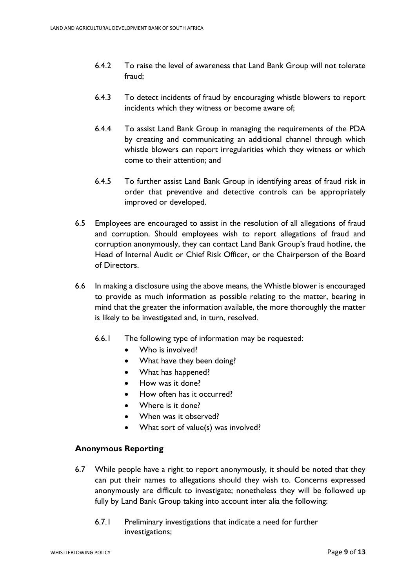- 6.4.2 To raise the level of awareness that Land Bank Group will not tolerate fraud;
- 6.4.3 To detect incidents of fraud by encouraging whistle blowers to report incidents which they witness or become aware of;
- 6.4.4 To assist Land Bank Group in managing the requirements of the PDA by creating and communicating an additional channel through which whistle blowers can report irregularities which they witness or which come to their attention; and
- 6.4.5 To further assist Land Bank Group in identifying areas of fraud risk in order that preventive and detective controls can be appropriately improved or developed.
- 6.5 Employees are encouraged to assist in the resolution of all allegations of fraud and corruption. Should employees wish to report allegations of fraud and corruption anonymously, they can contact Land Bank Group's fraud hotline, the Head of Internal Audit or Chief Risk Officer, or the Chairperson of the Board of Directors.
- 6.6 In making a disclosure using the above means, the Whistle blower is encouraged to provide as much information as possible relating to the matter, bearing in mind that the greater the information available, the more thoroughly the matter is likely to be investigated and, in turn, resolved.
	- 6.6.1 The following type of information may be requested:
		- Who is involved?
		- What have they been doing?
		- What has happened?
		- How was it done?
		- How often has it occurred?
		- Where is it done?
		- When was it observed?
		- What sort of value(s) was involved?

## **Anonymous Reporting**

- 6.7 While people have a right to report anonymously, it should be noted that they can put their names to allegations should they wish to. Concerns expressed anonymously are difficult to investigate; nonetheless they will be followed up fully by Land Bank Group taking into account inter alia the following:
	- 6.7.1 Preliminary investigations that indicate a need for further investigations;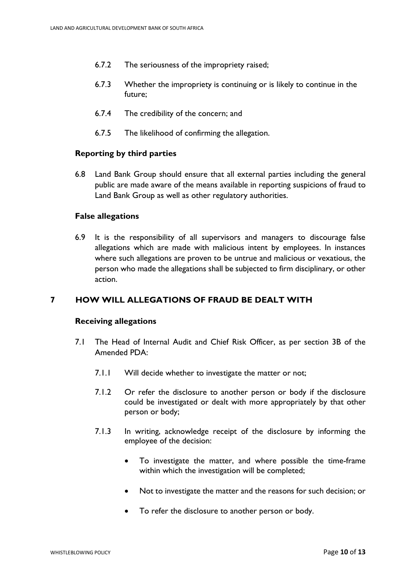- 6.7.2 The seriousness of the impropriety raised;
- 6.7.3 Whether the impropriety is continuing or is likely to continue in the future;
- 6.7.4 The credibility of the concern; and
- 6.7.5 The likelihood of confirming the allegation.

#### **Reporting by third parties**

6.8 Land Bank Group should ensure that all external parties including the general public are made aware of the means available in reporting suspicions of fraud to Land Bank Group as well as other regulatory authorities.

#### **False allegations**

6.9 It is the responsibility of all supervisors and managers to discourage false allegations which are made with malicious intent by employees. In instances where such allegations are proven to be untrue and malicious or vexatious, the person who made the allegations shall be subjected to firm disciplinary, or other action.

## **7 HOW WILL ALLEGATIONS OF FRAUD BE DEALT WITH**

#### **Receiving allegations**

- 7.1 The Head of Internal Audit and Chief Risk Officer, as per section 3B of the Amended PDA:
	- 7.1.1 Will decide whether to investigate the matter or not;
	- 7.1.2 Or refer the disclosure to another person or body if the disclosure could be investigated or dealt with more appropriately by that other person or body;
	- 7.1.3 In writing, acknowledge receipt of the disclosure by informing the employee of the decision:
		- To investigate the matter, and where possible the time-frame within which the investigation will be completed;
		- Not to investigate the matter and the reasons for such decision; or
		- To refer the disclosure to another person or body.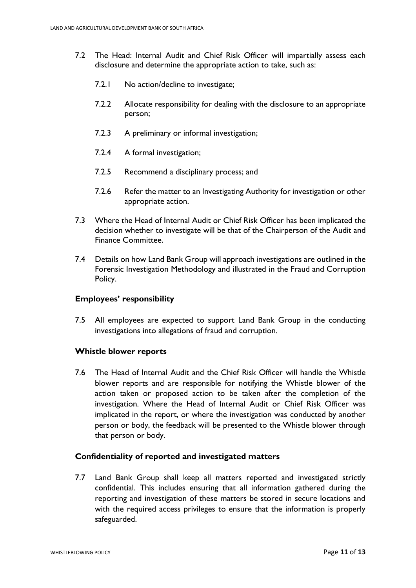- 7.2 The Head: Internal Audit and Chief Risk Officer will impartially assess each disclosure and determine the appropriate action to take, such as:
	- 7.2.1 No action/decline to investigate;
	- 7.2.2 Allocate responsibility for dealing with the disclosure to an appropriate person;
	- 7.2.3 A preliminary or informal investigation;
	- 7.2.4 A formal investigation;
	- 7.2.5 Recommend a disciplinary process; and
	- 7.2.6 Refer the matter to an Investigating Authority for investigation or other appropriate action.
- 7.3 Where the Head of Internal Audit or Chief Risk Officer has been implicated the decision whether to investigate will be that of the Chairperson of the Audit and Finance Committee.
- 7.4 Details on how Land Bank Group will approach investigations are outlined in the Forensic Investigation Methodology and illustrated in the Fraud and Corruption Policy.

#### **Employees' responsibility**

7.5 All employees are expected to support Land Bank Group in the conducting investigations into allegations of fraud and corruption.

#### **Whistle blower reports**

7.6 The Head of Internal Audit and the Chief Risk Officer will handle the Whistle blower reports and are responsible for notifying the Whistle blower of the action taken or proposed action to be taken after the completion of the investigation. Where the Head of Internal Audit or Chief Risk Officer was implicated in the report, or where the investigation was conducted by another person or body, the feedback will be presented to the Whistle blower through that person or body.

## **Confidentiality of reported and investigated matters**

7.7 Land Bank Group shall keep all matters reported and investigated strictly confidential. This includes ensuring that all information gathered during the reporting and investigation of these matters be stored in secure locations and with the required access privileges to ensure that the information is properly safeguarded.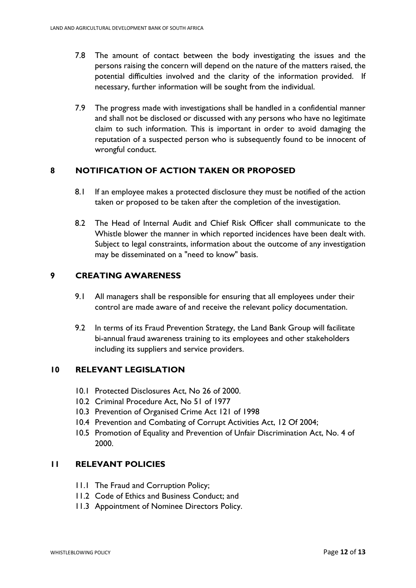- 7.8 The amount of contact between the body investigating the issues and the persons raising the concern will depend on the nature of the matters raised, the potential difficulties involved and the clarity of the information provided. If necessary, further information will be sought from the individual.
- 7.9 The progress made with investigations shall be handled in a confidential manner and shall not be disclosed or discussed with any persons who have no legitimate claim to such information. This is important in order to avoid damaging the reputation of a suspected person who is subsequently found to be innocent of wrongful conduct.

## **8 NOTIFICATION OF ACTION TAKEN OR PROPOSED**

- 8.1 If an employee makes a protected disclosure they must be notified of the action taken or proposed to be taken after the completion of the investigation.
- 8.2 The Head of Internal Audit and Chief Risk Officer shall communicate to the Whistle blower the manner in which reported incidences have been dealt with. Subject to legal constraints, information about the outcome of any investigation may be disseminated on a "need to know" basis.

## **9 CREATING AWARENESS**

- 9.1 All managers shall be responsible for ensuring that all employees under their control are made aware of and receive the relevant policy documentation.
- 9.2 In terms of its Fraud Prevention Strategy, the Land Bank Group will facilitate bi-annual fraud awareness training to its employees and other stakeholders including its suppliers and service providers.

## **10 RELEVANT LEGISLATION**

- 10.1 Protected Disclosures Act, No 26 of 2000.
- 10.2 Criminal Procedure Act, No 51 of 1977
- 10.3 Prevention of Organised Crime Act 121 of 1998
- 10.4 Prevention and Combating of Corrupt Activities Act, 12 Of 2004;
- 10.5 Promotion of Equality and Prevention of Unfair Discrimination Act, No. 4 of 2000.

## **11 RELEVANT POLICIES**

- 11.1 The Fraud and Corruption Policy;
- 11.2 Code of Ethics and Business Conduct; and
- 11.3 Appointment of Nominee Directors Policy.